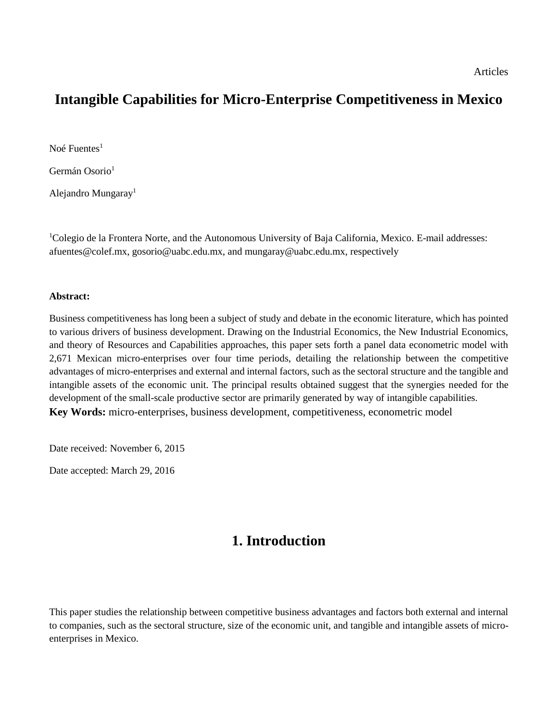## **Intangible Capabilities for Micro-Enterprise Competitiveness in Mexico**

Noé  $F$ uentes<sup>1</sup>

Germán Osorio<sup>1</sup>

Alejandro Mungaray<sup>1</sup>

<sup>1</sup>Colegio de la Frontera Norte, and the Autonomous University of Baja California, Mexico. E-mail addresses: afuentes@colef.mx, gosorio@uabc.edu.mx, and mungaray@uabc.edu.mx, respectively

#### **Abstract:**

Business competitiveness has long been a subject of study and debate in the economic literature, which has pointed to various drivers of business development. Drawing on the Industrial Economics, the New Industrial Economics, and theory of Resources and Capabilities approaches, this paper sets forth a panel data econometric model with 2,671 Mexican micro-enterprises over four time periods, detailing the relationship between the competitive advantages of micro-enterprises and external and internal factors, such as the sectoral structure and the tangible and intangible assets of the economic unit. The principal results obtained suggest that the synergies needed for the development of the small-scale productive sector are primarily generated by way of intangible capabilities. **Key Words:** micro-enterprises, business development, competitiveness, econometric model

Date received: November 6, 2015

Date accepted: March 29, 2016

## **1. Introduction**

This paper studies the relationship between competitive business advantages and factors both external and internal to companies, such as the sectoral structure, size of the economic unit, and tangible and intangible assets of microenterprises in Mexico.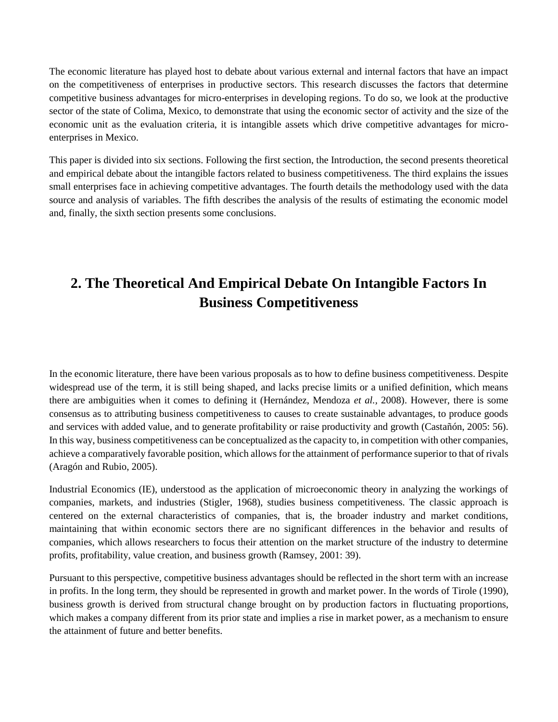The economic literature has played host to debate about various external and internal factors that have an impact on the competitiveness of enterprises in productive sectors. This research discusses the factors that determine competitive business advantages for micro-enterprises in developing regions. To do so, we look at the productive sector of the state of Colima, Mexico, to demonstrate that using the economic sector of activity and the size of the economic unit as the evaluation criteria, it is intangible assets which drive competitive advantages for microenterprises in Mexico.

This paper is divided into six sections. Following the first section, the Introduction, the second presents theoretical and empirical debate about the intangible factors related to business competitiveness. The third explains the issues small enterprises face in achieving competitive advantages. The fourth details the methodology used with the data source and analysis of variables. The fifth describes the analysis of the results of estimating the economic model and, finally, the sixth section presents some conclusions.

# **2. The Theoretical And Empirical Debate On Intangible Factors In Business Competitiveness**

In the economic literature, there have been various proposals as to how to define business competitiveness. Despite widespread use of the term, it is still being shaped, and lacks precise limits or a unified definition, which means there are ambiguities when it comes to defining it (Hernández, Mendoza *et al.,* 2008). However, there is some consensus as to attributing business competitiveness to causes to create sustainable advantages, to produce goods and services with added value, and to generate profitability or raise productivity and growth (Castañón, 2005: 56). In this way, business competitiveness can be conceptualized as the capacity to, in competition with other companies, achieve a comparatively favorable position, which allows for the attainment of performance superior to that of rivals (Aragón and Rubio, 2005).

Industrial Economics (IE), understood as the application of microeconomic theory in analyzing the workings of companies, markets, and industries (Stigler, 1968), studies business competitiveness. The classic approach is centered on the external characteristics of companies, that is, the broader industry and market conditions, maintaining that within economic sectors there are no significant differences in the behavior and results of companies, which allows researchers to focus their attention on the market structure of the industry to determine profits, profitability, value creation, and business growth (Ramsey, 2001: 39).

Pursuant to this perspective, competitive business advantages should be reflected in the short term with an increase in profits. In the long term, they should be represented in growth and market power. In the words of Tirole (1990), business growth is derived from structural change brought on by production factors in fluctuating proportions, which makes a company different from its prior state and implies a rise in market power, as a mechanism to ensure the attainment of future and better benefits.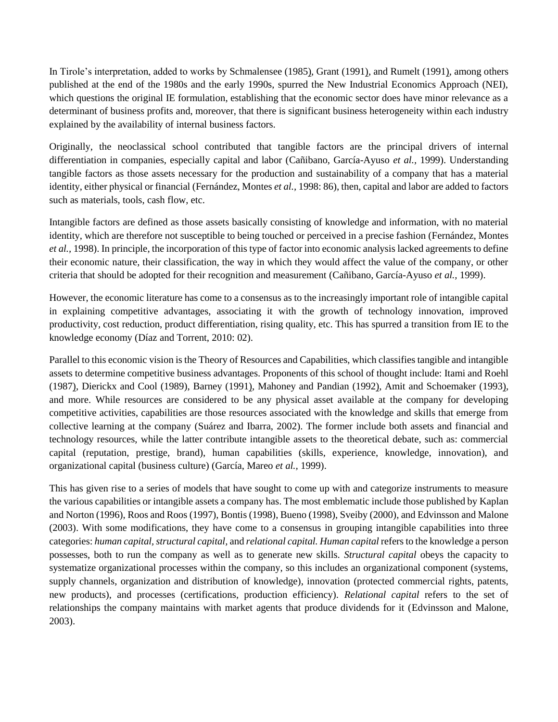In Tirole's interpretation, added to works by Schmalensee (1985), Grant (1991), and Rumelt (1991), among others published at the end of the 1980s and the early 1990s, spurred the New Industrial Economics Approach (NEI), which questions the original IE formulation, establishing that the economic sector does have minor relevance as a determinant of business profits and, moreover, that there is significant business heterogeneity within each industry explained by the availability of internal business factors.

Originally, the neoclassical school contributed that tangible factors are the principal drivers of internal differentiation in companies, especially capital and labor (Cañibano, García-Ayuso *et al.,* 1999). Understanding tangible factors as those assets necessary for the production and sustainability of a company that has a material identity, either physical or financial (Fernández, Montes *et al.,* 1998: 86), then, capital and labor are added to factors such as materials, tools, cash flow, etc.

Intangible factors are defined as those assets basically consisting of knowledge and information, with no material identity, which are therefore not susceptible to being touched or perceived in a precise fashion (Fernández, Montes *et al.,* 1998). In principle, the incorporation of this type of factor into economic analysis lacked agreements to define their economic nature, their classification, the way in which they would affect the value of the company, or other criteria that should be adopted for their recognition and measurement (Cañibano, García-Ayuso *et al.,* 1999).

However, the economic literature has come to a consensus as to the increasingly important role of intangible capital in explaining competitive advantages, associating it with the growth of technology innovation, improved productivity, cost reduction, product differentiation, rising quality, etc. This has spurred a transition from IE to the knowledge economy (Díaz and Torrent, 2010: 02).

Parallel to this economic vision is the Theory of Resources and Capabilities, which classifies tangible and intangible assets to determine competitive business advantages. Proponents of this school of thought include: Itami and Roehl (1987), Dierickx and Cool (1989), Barney (1991), Mahoney and Pandian (1992), Amit and Schoemaker (1993), and more. While resources are considered to be any physical asset available at the company for developing competitive activities, capabilities are those resources associated with the knowledge and skills that emerge from collective learning at the company (Suárez and Ibarra, 2002). The former include both assets and financial and technology resources, while the latter contribute intangible assets to the theoretical debate, such as: commercial capital (reputation, prestige, brand), human capabilities (skills, experience, knowledge, innovation), and organizational capital (business culture) (García, Mareo *et al.,* 1999).

This has given rise to a series of models that have sought to come up with and categorize instruments to measure the various capabilities or intangible assets a company has. The most emblematic include those published by Kaplan and Norton (1996), Roos and Roos (1997), Bontis (1998), Bueno (1998), Sveiby (2000), and Edvinsson and Malone (2003). With some modifications, they have come to a consensus in grouping intangible capabilities into three categories: *human capital, structural capital,* and *relational capital. Human capital* refers to the knowledge a person possesses, both to run the company as well as to generate new skills. *Structural capital* obeys the capacity to systematize organizational processes within the company, so this includes an organizational component (systems, supply channels, organization and distribution of knowledge), innovation (protected commercial rights, patents, new products), and processes (certifications, production efficiency). *Relational capital* refers to the set of relationships the company maintains with market agents that produce dividends for it (Edvinsson and Malone, 2003).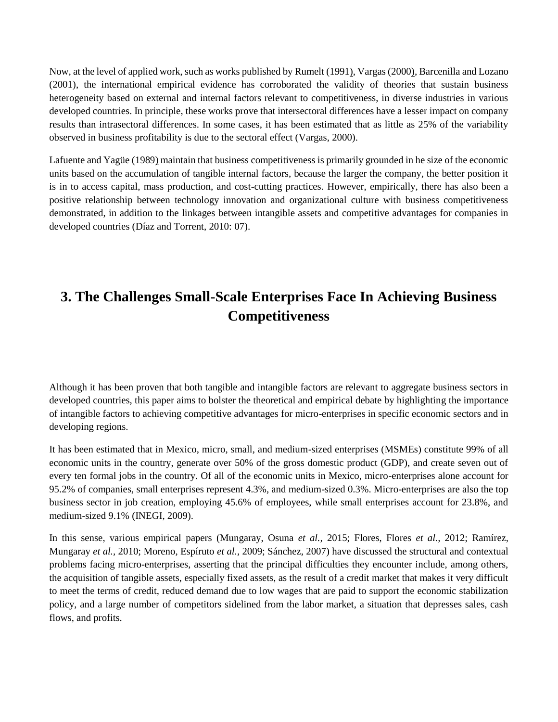Now, at the level of applied work, such as works published by Rumelt (1991), Vargas (2000), Barcenilla and Lozano (2001), the international empirical evidence has corroborated the validity of theories that sustain business heterogeneity based on external and internal factors relevant to competitiveness, in diverse industries in various developed countries. In principle, these works prove that intersectoral differences have a lesser impact on company results than intrasectoral differences. In some cases, it has been estimated that as little as 25% of the variability observed in business profitability is due to the sectoral effect (Vargas, 2000).

Lafuente and Yagüe (1989) maintain that business competitiveness is primarily grounded in he size of the economic units based on the accumulation of tangible internal factors, because the larger the company, the better position it is in to access capital, mass production, and cost-cutting practices. However, empirically, there has also been a positive relationship between technology innovation and organizational culture with business competitiveness demonstrated, in addition to the linkages between intangible assets and competitive advantages for companies in developed countries (Díaz and Torrent, 2010: 07).

# **3. The Challenges Small-Scale Enterprises Face In Achieving Business Competitiveness**

Although it has been proven that both tangible and intangible factors are relevant to aggregate business sectors in developed countries, this paper aims to bolster the theoretical and empirical debate by highlighting the importance of intangible factors to achieving competitive advantages for micro-enterprises in specific economic sectors and in developing regions.

It has been estimated that in Mexico, micro, small, and medium-sized enterprises (MSMEs) constitute 99% of all economic units in the country, generate over 50% of the gross domestic product (GDP), and create seven out of every ten formal jobs in the country. Of all of the economic units in Mexico, micro-enterprises alone account for 95.2% of companies, small enterprises represent 4.3%, and medium-sized 0.3%. Micro-enterprises are also the top business sector in job creation, employing 45.6% of employees, while small enterprises account for 23.8%, and medium-sized 9.1% (INEGI, 2009).

In this sense, various empirical papers (Mungaray, Osuna *et al.,* 2015; Flores, Flores *et al.,* 2012; Ramírez, Mungaray *et al.,* 2010; Moreno, Espíruto *et al.,* 2009; Sánchez, 2007) have discussed the structural and contextual problems facing micro-enterprises, asserting that the principal difficulties they encounter include, among others, the acquisition of tangible assets, especially fixed assets, as the result of a credit market that makes it very difficult to meet the terms of credit, reduced demand due to low wages that are paid to support the economic stabilization policy, and a large number of competitors sidelined from the labor market, a situation that depresses sales, cash flows, and profits.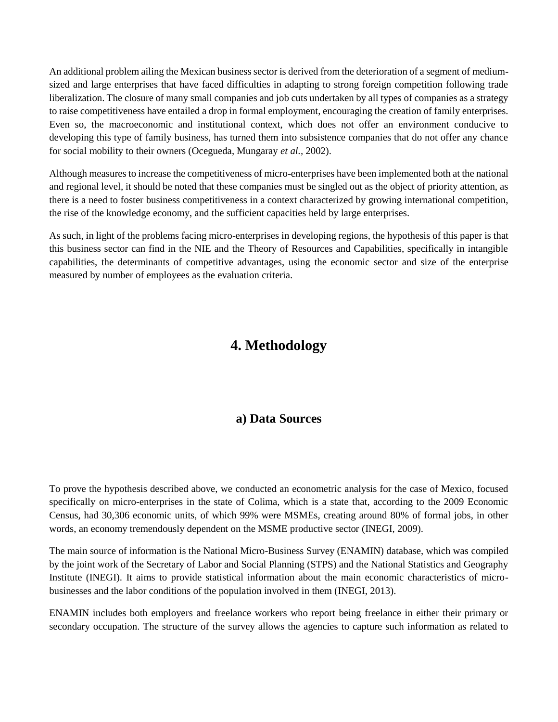An additional problem ailing the Mexican business sector is derived from the deterioration of a segment of mediumsized and large enterprises that have faced difficulties in adapting to strong foreign competition following trade liberalization. The closure of many small companies and job cuts undertaken by all types of companies as a strategy to raise competitiveness have entailed a drop in formal employment, encouraging the creation of family enterprises. Even so, the macroeconomic and institutional context, which does not offer an environment conducive to developing this type of family business, has turned them into subsistence companies that do not offer any chance for social mobility to their owners (Ocegueda, Mungaray *et al.,* 2002).

Although measures to increase the competitiveness of micro-enterprises have been implemented both at the national and regional level, it should be noted that these companies must be singled out as the object of priority attention, as there is a need to foster business competitiveness in a context characterized by growing international competition, the rise of the knowledge economy, and the sufficient capacities held by large enterprises.

As such, in light of the problems facing micro-enterprises in developing regions, the hypothesis of this paper is that this business sector can find in the NIE and the Theory of Resources and Capabilities, specifically in intangible capabilities, the determinants of competitive advantages, using the economic sector and size of the enterprise measured by number of employees as the evaluation criteria.

## **4. Methodology**

### **a) Data Sources**

To prove the hypothesis described above, we conducted an econometric analysis for the case of Mexico, focused specifically on micro-enterprises in the state of Colima, which is a state that, according to the 2009 Economic Census, had 30,306 economic units, of which 99% were MSMEs, creating around 80% of formal jobs, in other words, an economy tremendously dependent on the MSME productive sector (INEGI, 2009).

The main source of information is the National Micro-Business Survey (ENAMIN) database, which was compiled by the joint work of the Secretary of Labor and Social Planning (STPS) and the National Statistics and Geography Institute (INEGI). It aims to provide statistical information about the main economic characteristics of microbusinesses and the labor conditions of the population involved in them (INEGI, 2013).

ENAMIN includes both employers and freelance workers who report being freelance in either their primary or secondary occupation. The structure of the survey allows the agencies to capture such information as related to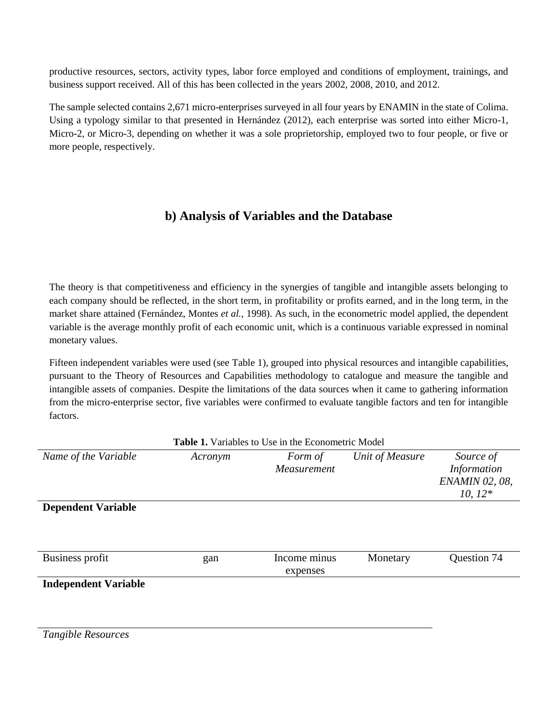productive resources, sectors, activity types, labor force employed and conditions of employment, trainings, and business support received. All of this has been collected in the years 2002, 2008, 2010, and 2012.

The sample selected contains 2,671 micro-enterprises surveyed in all four years by ENAMIN in the state of Colima. Using a typology similar to that presented in Hernández (2012), each enterprise was sorted into either Micro-1, Micro-2, or Micro-3, depending on whether it was a sole proprietorship, employed two to four people, or five or more people, respectively.

## **b) Analysis of Variables and the Database**

The theory is that competitiveness and efficiency in the synergies of tangible and intangible assets belonging to each company should be reflected, in the short term, in profitability or profits earned, and in the long term, in the market share attained (Fernández, Montes *et al.,* 1998). As such, in the econometric model applied, the dependent variable is the average monthly profit of each economic unit, which is a continuous variable expressed in nominal monetary values.

Fifteen independent variables were used (see Table 1), grouped into physical resources and intangible capabilities, pursuant to the Theory of Resources and Capabilities methodology to catalogue and measure the tangible and intangible assets of companies. Despite the limitations of the data sources when it came to gathering information from the micro-enterprise sector, five variables were confirmed to evaluate tangible factors and ten for intangible factors.

| <b>Table 1.</b> Variables to Use in the Econometric Model |         |                          |                 |                                                                |  |  |  |
|-----------------------------------------------------------|---------|--------------------------|-----------------|----------------------------------------------------------------|--|--|--|
| Name of the Variable                                      | Acronym | Form of<br>Measurement   | Unit of Measure | Source of<br>Information<br><b>ENAMIN 02, 08,</b><br>$10, 12*$ |  |  |  |
| <b>Dependent Variable</b>                                 |         |                          |                 |                                                                |  |  |  |
| Business profit                                           | gan     | Income minus<br>expenses | Monetary        | Question 74                                                    |  |  |  |
| <b>Independent Variable</b>                               |         |                          |                 |                                                                |  |  |  |

*Tangible Resources*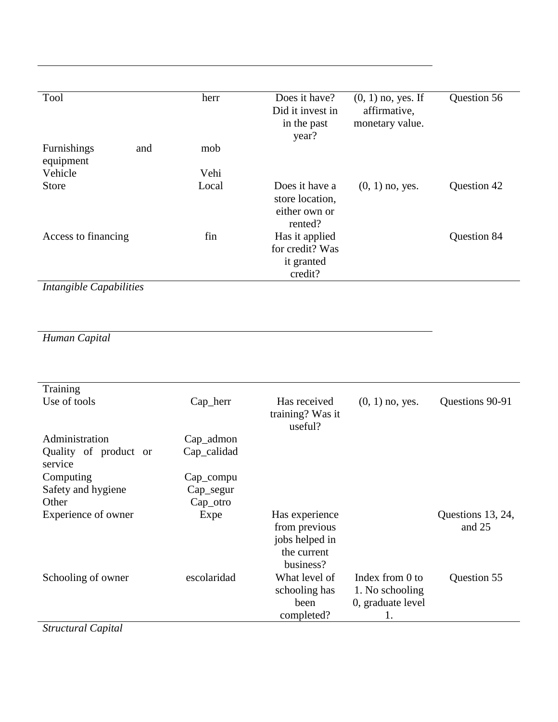| Tool                            | herr  | Does it have?<br>Did it invest in                             | $(0, 1)$ no, yes. If<br>affirmative, | Question 56 |
|---------------------------------|-------|---------------------------------------------------------------|--------------------------------------|-------------|
|                                 |       | in the past<br>year?                                          | monetary value.                      |             |
| Furnishings<br>and<br>equipment | mob   |                                                               |                                      |             |
| Vehicle                         | Vehi  |                                                               |                                      |             |
| <b>Store</b>                    | Local | Does it have a<br>store location,<br>either own or<br>rented? | $(0, 1)$ no, yes.                    | Question 42 |
| Access to financing             | fin   | Has it applied<br>for credit? Was<br>it granted<br>credit?    |                                      | Question 84 |

*Human Capital*

| Training                                                                                                                                                                                                                                                                                                                                                                                                                                                                                                                    |             |                                                                               |                                                               |                             |
|-----------------------------------------------------------------------------------------------------------------------------------------------------------------------------------------------------------------------------------------------------------------------------------------------------------------------------------------------------------------------------------------------------------------------------------------------------------------------------------------------------------------------------|-------------|-------------------------------------------------------------------------------|---------------------------------------------------------------|-----------------------------|
| Use of tools                                                                                                                                                                                                                                                                                                                                                                                                                                                                                                                | Cap_herr    | Has received<br>training? Was it<br>useful?                                   | $(0, 1)$ no, yes.                                             | Questions 90-91             |
| Administration                                                                                                                                                                                                                                                                                                                                                                                                                                                                                                              | Cap_admon   |                                                                               |                                                               |                             |
| Quality of product or<br>service                                                                                                                                                                                                                                                                                                                                                                                                                                                                                            | Cap_calidad |                                                                               |                                                               |                             |
| Computing                                                                                                                                                                                                                                                                                                                                                                                                                                                                                                                   | Cap_compu   |                                                                               |                                                               |                             |
| Safety and hygiene                                                                                                                                                                                                                                                                                                                                                                                                                                                                                                          | Cap_segur   |                                                                               |                                                               |                             |
| Other                                                                                                                                                                                                                                                                                                                                                                                                                                                                                                                       | Cap_otro    |                                                                               |                                                               |                             |
| Experience of owner                                                                                                                                                                                                                                                                                                                                                                                                                                                                                                         | Expe        | Has experience<br>from previous<br>jobs helped in<br>the current<br>business? |                                                               | Questions 13, 24,<br>and 25 |
| Schooling of owner<br>$\overline{\phantom{a}}$ $\overline{\phantom{a}}$ $\overline{\phantom{a}}$ $\overline{\phantom{a}}$ $\overline{\phantom{a}}$ $\overline{\phantom{a}}$ $\overline{\phantom{a}}$ $\overline{\phantom{a}}$ $\overline{\phantom{a}}$ $\overline{\phantom{a}}$ $\overline{\phantom{a}}$ $\overline{\phantom{a}}$ $\overline{\phantom{a}}$ $\overline{\phantom{a}}$ $\overline{\phantom{a}}$ $\overline{\phantom{a}}$ $\overline{\phantom{a}}$ $\overline{\phantom{a}}$ $\overline{\$<br>$\alpha$ . $\beta$ | escolaridad | What level of<br>schooling has<br>been<br>completed?                          | Index from 0 to<br>1. No schooling<br>0, graduate level<br>1. | Question 55                 |

*Structural Capital*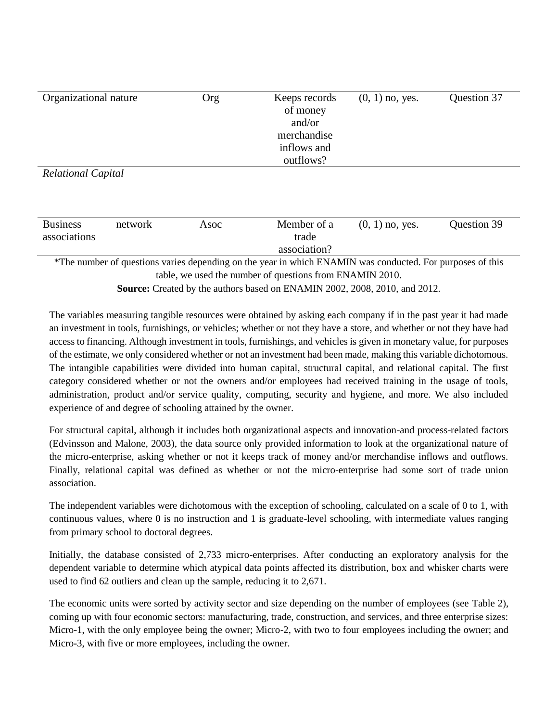| Organizational nature                                                             |                                                          | Org  | Keeps records<br>of money<br>and/or<br>merchandise<br>inflows and<br>outflows?                            | $(0, 1)$ no, yes. | Question 37 |  |  |  |  |
|-----------------------------------------------------------------------------------|----------------------------------------------------------|------|-----------------------------------------------------------------------------------------------------------|-------------------|-------------|--|--|--|--|
| <b>Relational Capital</b>                                                         |                                                          |      |                                                                                                           |                   |             |  |  |  |  |
|                                                                                   |                                                          |      |                                                                                                           |                   |             |  |  |  |  |
| <b>Business</b>                                                                   | network                                                  | Asoc | Member of a                                                                                               | $(0, 1)$ no, yes. | Question 39 |  |  |  |  |
| associations                                                                      |                                                          |      | trade                                                                                                     |                   |             |  |  |  |  |
|                                                                                   |                                                          |      | association?                                                                                              |                   |             |  |  |  |  |
|                                                                                   |                                                          |      | *The number of questions varies depending on the year in which ENAMIN was conducted. For purposes of this |                   |             |  |  |  |  |
|                                                                                   | table, we used the number of questions from ENAMIN 2010. |      |                                                                                                           |                   |             |  |  |  |  |
| <b>Source:</b> Created by the authors based on ENAMIN 2002, 2008, 2010, and 2012. |                                                          |      |                                                                                                           |                   |             |  |  |  |  |

The variables measuring tangible resources were obtained by asking each company if in the past year it had made an investment in tools, furnishings, or vehicles; whether or not they have a store, and whether or not they have had access to financing. Although investment in tools, furnishings, and vehicles is given in monetary value, for purposes of the estimate, we only considered whether or not an investment had been made, making this variable dichotomous. The intangible capabilities were divided into human capital, structural capital, and relational capital. The first category considered whether or not the owners and/or employees had received training in the usage of tools, administration, product and/or service quality, computing, security and hygiene, and more. We also included experience of and degree of schooling attained by the owner.

For structural capital, although it includes both organizational aspects and innovation-and process-related factors (Edvinsson and Malone, 2003), the data source only provided information to look at the organizational nature of the micro-enterprise, asking whether or not it keeps track of money and/or merchandise inflows and outflows. Finally, relational capital was defined as whether or not the micro-enterprise had some sort of trade union association.

The independent variables were dichotomous with the exception of schooling, calculated on a scale of 0 to 1, with continuous values, where 0 is no instruction and 1 is graduate-level schooling, with intermediate values ranging from primary school to doctoral degrees.

Initially, the database consisted of 2,733 micro-enterprises. After conducting an exploratory analysis for the dependent variable to determine which atypical data points affected its distribution, box and whisker charts were used to find 62 outliers and clean up the sample, reducing it to 2,671.

The economic units were sorted by activity sector and size depending on the number of employees (see Table 2), coming up with four economic sectors: manufacturing, trade, construction, and services, and three enterprise sizes: Micro-1, with the only employee being the owner; Micro-2, with two to four employees including the owner; and Micro-3, with five or more employees, including the owner.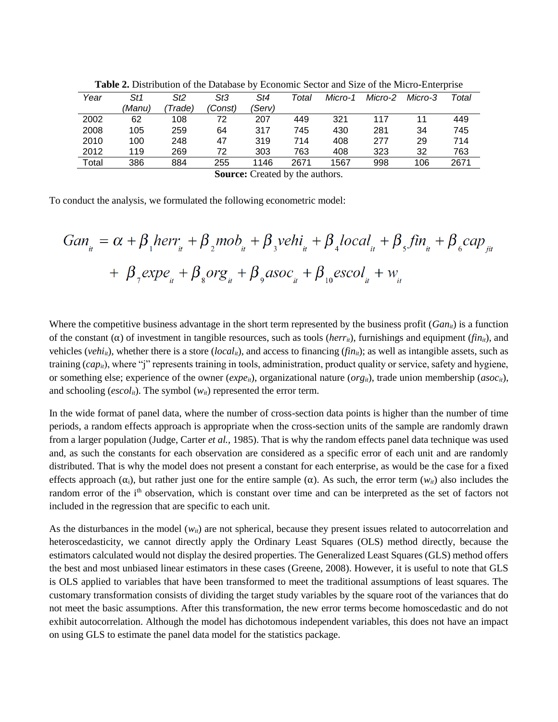| Year  | St1                                    | St2     | St3     | St4    | Total | Micro-1 | Micro-2 | Micro-3 | Total |  |
|-------|----------------------------------------|---------|---------|--------|-------|---------|---------|---------|-------|--|
|       | (Manu)                                 | 'Trade) | (Const) | (Serv) |       |         |         |         |       |  |
| 2002  | 62                                     | 108     | 72      | 207    | 449   | 321     | 117     | 11      | 449   |  |
| 2008  | 105                                    | 259     | 64      | 317    | 745   | 430     | 281     | 34      | 745   |  |
| 2010  | 100                                    | 248     | 47      | 319    | 714   | 408     | 277     | 29      | 714   |  |
| 2012  | 119                                    | 269     | 72      | 303    | 763   | 408     | 323     | 32      | 763   |  |
| Total | 386                                    | 884     | 255     | 1146   | 2671  | 1567    | 998     | 106     | 2671  |  |
|       | <b>Source:</b> Created by the authors. |         |         |        |       |         |         |         |       |  |

**Table 2.** Distribution of the Database by Economic Sector and Size of the Micro-Enterprise

To conduct the analysis, we formulated the following econometric model:

$$
Gan_{ii} = \alpha + \beta_1 herr_{ii} + \beta_2 m\omega_{ii} + \beta_3 vehi_{ii} + \beta_4 local_{ii} + \beta_5 fin_{ii} + \beta_6 cap_{ji}
$$
  
+  $\beta_7 exp e_{ii} + \beta_8 org_{ii} + \beta_9 asoc_{ii} + \beta_{10} escol_{ii} + w_{ii}$ 

Where the competitive business advantage in the short term represented by the business profit  $(Gan_{ii})$  is a function of the constant  $(\alpha)$  of investment in tangible resources, such as tools (*herr<sub>it</sub>*), furnishings and equipment (*fin<sub>it</sub>*), and vehicles (*vehi<sub>it</sub>*), whether there is a store (*local<sub>it</sub>*), and access to financing (*fin<sub>it</sub>*); as well as intangible assets, such as training  $(cap_i)$ , where "j" represents training in tools, administration, product quality or service, safety and hygiene, or something else; experience of the owner ( $expe_i$ ), organizational nature ( $org_i$ ), trade union membership ( $asoc_i$ ), and schooling ( $\epsilon$ scol<sub>it</sub>). The symbol ( $w$ <sub>it</sub>) represented the error term.

In the wide format of panel data, where the number of cross-section data points is higher than the number of time periods, a random effects approach is appropriate when the cross-section units of the sample are randomly drawn from a larger population (Judge, Carter *et al.,* 1985). That is why the random effects panel data technique was used and, as such the constants for each observation are considered as a specific error of each unit and are randomly distributed. That is why the model does not present a constant for each enterprise, as would be the case for a fixed effects approach  $(\alpha_i)$ , but rather just one for the entire sample  $(\alpha)$ . As such, the error term  $(w_{it})$  also includes the random error of the i<sup>th</sup> observation, which is constant over time and can be interpreted as the set of factors not included in the regression that are specific to each unit.

As the disturbances in the model  $(w_i)$  are not spherical, because they present issues related to autocorrelation and heteroscedasticity, we cannot directly apply the Ordinary Least Squares (OLS) method directly, because the estimators calculated would not display the desired properties. The Generalized Least Squares (GLS) method offers the best and most unbiased linear estimators in these cases (Greene, 2008). However, it is useful to note that GLS is OLS applied to variables that have been transformed to meet the traditional assumptions of least squares. The customary transformation consists of dividing the target study variables by the square root of the variances that do not meet the basic assumptions. After this transformation, the new error terms become homoscedastic and do not exhibit autocorrelation. Although the model has dichotomous independent variables, this does not have an impact on using GLS to estimate the panel data model for the statistics package.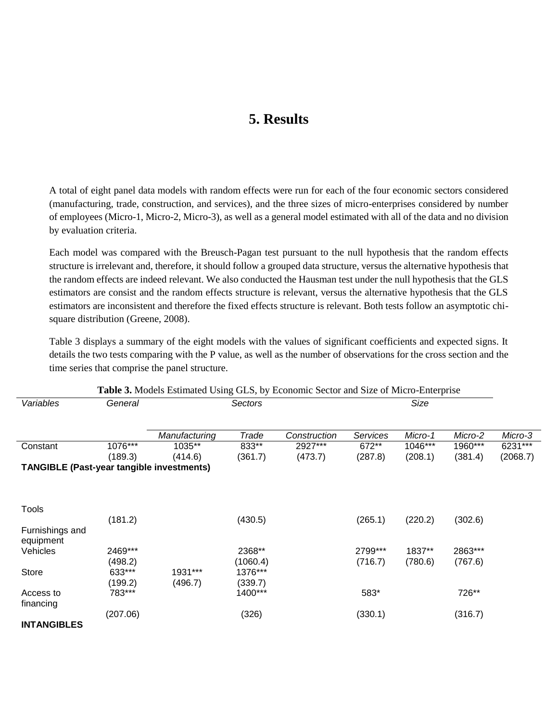## **5. Results**

A total of eight panel data models with random effects were run for each of the four economic sectors considered (manufacturing, trade, construction, and services), and the three sizes of micro-enterprises considered by number of employees (Micro-1, Micro-2, Micro-3), as well as a general model estimated with all of the data and no division by evaluation criteria.

Each model was compared with the Breusch-Pagan test pursuant to the null hypothesis that the random effects structure is irrelevant and, therefore, it should follow a grouped data structure, versus the alternative hypothesis that the random effects are indeed relevant. We also conducted the Hausman test under the null hypothesis that the GLS estimators are consist and the random effects structure is relevant, versus the alternative hypothesis that the GLS estimators are inconsistent and therefore the fixed effects structure is relevant. Both tests follow an asymptotic chisquare distribution (Greene, 2008).

Table 3 displays a summary of the eight models with the values of significant coefficients and expected signs. It details the two tests comparing with the P value, as well as the number of observations for the cross section and the time series that comprise the panel structure.

| Table 3. Models Estimated Using GLS, by Economic Sector and Size of Micro-Enterprise |          |               |          |              |          |         |         |          |  |
|--------------------------------------------------------------------------------------|----------|---------------|----------|--------------|----------|---------|---------|----------|--|
| Variables                                                                            | General  |               | Sectors  |              |          | Size    |         |          |  |
|                                                                                      |          |               |          |              |          |         |         |          |  |
|                                                                                      |          | Manufacturing | Trade    | Construction | Services | Micro-1 | Micro-2 | Micro-3  |  |
| Constant                                                                             | 1076***  | 1035**        | 833**    | 2927***      | 672**    | 1046*** | 1960*** | 6231***  |  |
|                                                                                      | (189.3)  | (414.6)       | (361.7)  | (473.7)      | (287.8)  | (208.1) | (381.4) | (2068.7) |  |
| <b>TANGIBLE (Past-year tangible investments)</b>                                     |          |               |          |              |          |         |         |          |  |
|                                                                                      |          |               |          |              |          |         |         |          |  |
|                                                                                      |          |               |          |              |          |         |         |          |  |
| Tools                                                                                |          |               |          |              |          |         |         |          |  |
|                                                                                      | (181.2)  |               | (430.5)  |              | (265.1)  | (220.2) | (302.6) |          |  |
| Furnishings and                                                                      |          |               |          |              |          |         |         |          |  |
| equipment                                                                            |          |               |          |              |          |         |         |          |  |
| Vehicles                                                                             | 2469***  |               | 2368**   |              | 2799***  | 1837**  | 2863*** |          |  |
|                                                                                      | (498.2)  |               | (1060.4) |              | (716.7)  | (780.6) | (767.6) |          |  |
| <b>Store</b>                                                                         | 633***   | 1931 ***      | 1376***  |              |          |         |         |          |  |
|                                                                                      | (199.2)  | (496.7)       | (339.7)  |              |          |         |         |          |  |
| Access to                                                                            | 783***   |               | 1400***  |              | 583*     |         | 726**   |          |  |
| financing                                                                            |          |               |          |              |          |         |         |          |  |
|                                                                                      | (207.06) |               | (326)    |              | (330.1)  |         | (316.7) |          |  |
| <b>INTANGIBLES</b>                                                                   |          |               |          |              |          |         |         |          |  |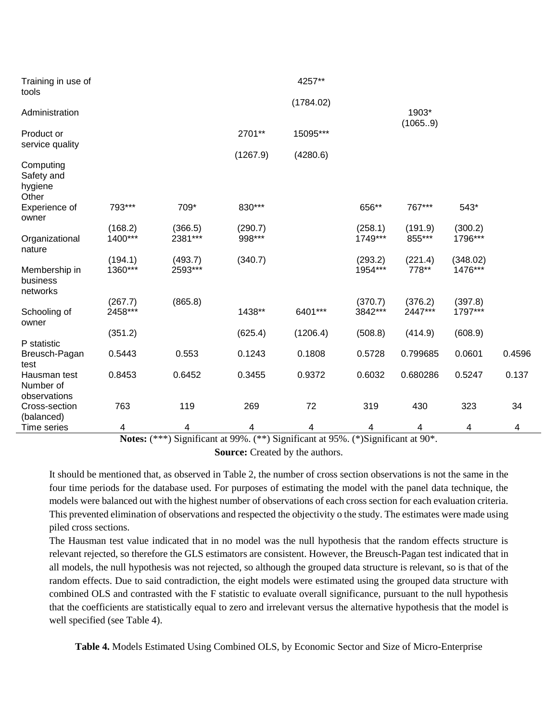| Training in use of                          |                    |                    |                   | 4257**    |                    |                   |                     |        |
|---------------------------------------------|--------------------|--------------------|-------------------|-----------|--------------------|-------------------|---------------------|--------|
| tools                                       |                    |                    |                   | (1784.02) |                    |                   |                     |        |
| Administration                              |                    |                    |                   |           |                    | 1903*<br>(1065.9) |                     |        |
| Product or<br>service quality               |                    |                    | 2701**            | 15095***  |                    |                   |                     |        |
|                                             |                    |                    | (1267.9)          | (4280.6)  |                    |                   |                     |        |
| Computing<br>Safety and<br>hygiene<br>Other |                    |                    |                   |           |                    |                   |                     |        |
| Experience of<br>owner                      | 793***             | 709*               | 830***            |           | 656**              | 767***            | 543*                |        |
| Organizational<br>nature                    | (168.2)<br>1400*** | (366.5)<br>2381*** | (290.7)<br>998*** |           | (258.1)<br>1749*** | (191.9)<br>855*** | (300.2)<br>1796***  |        |
| Membership in                               | (194.1)<br>1360*** | (493.7)<br>2593*** | (340.7)           |           | (293.2)<br>1954*** | (221.4)<br>778**  | (348.02)<br>1476*** |        |
| business<br>networks                        |                    |                    |                   |           |                    |                   |                     |        |
|                                             | (267.7)            | (865.8)            |                   |           | (370.7)            | (376.2)           | (397.8)             |        |
| Schooling of<br>owner                       | 2458***            |                    | 1438**            | 6401***   | 3842***            | 2447***           | 1797***             |        |
|                                             | (351.2)            |                    | (625.4)           | (1206.4)  | (508.8)            | (414.9)           | (608.9)             |        |
| P statistic                                 |                    |                    |                   |           |                    |                   |                     |        |
| Breusch-Pagan<br>test                       | 0.5443             | 0.553              | 0.1243            | 0.1808    | 0.5728             | 0.799685          | 0.0601              | 0.4596 |
| Hausman test<br>Number of<br>observations   | 0.8453             | 0.6452             | 0.3455            | 0.9372    | 0.6032             | 0.680286          | 0.5247              | 0.137  |
| Cross-section<br>(balanced)                 | 763                | 119                | 269               | 72        | 319                | 430               | 323                 | 34     |
| Time series                                 | 4                  | 4                  | 4                 | 4         | 4                  | 4                 | 4                   | 4      |

**Notes:** (\*\*\*) Significant at 99%. (\*\*) Significant at 95%. (\*)Significant at 90\*.

**Source:** Created by the authors.

It should be mentioned that, as observed in Table 2, the number of cross section observations is not the same in the four time periods for the database used. For purposes of estimating the model with the panel data technique, the models were balanced out with the highest number of observations of each cross section for each evaluation criteria. This prevented elimination of observations and respected the objectivity o the study. The estimates were made using piled cross sections.

The Hausman test value indicated that in no model was the null hypothesis that the random effects structure is relevant rejected, so therefore the GLS estimators are consistent. However, the Breusch-Pagan test indicated that in all models, the null hypothesis was not rejected, so although the grouped data structure is relevant, so is that of the random effects. Due to said contradiction, the eight models were estimated using the grouped data structure with combined OLS and contrasted with the F statistic to evaluate overall significance, pursuant to the null hypothesis that the coefficients are statistically equal to zero and irrelevant versus the alternative hypothesis that the model is well specified (see Table 4).

**Table 4.** Models Estimated Using Combined OLS, by Economic Sector and Size of Micro-Enterprise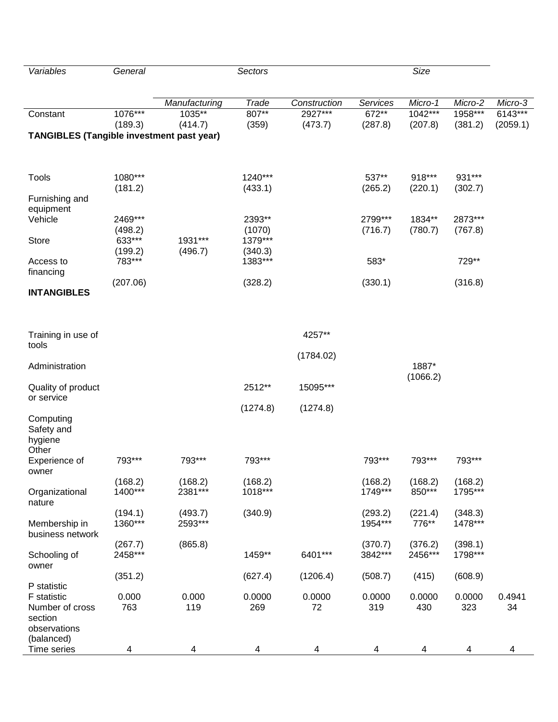| Variables                                        | General            |                    | Sectors            |              |                    | Size             |                    |          |
|--------------------------------------------------|--------------------|--------------------|--------------------|--------------|--------------------|------------------|--------------------|----------|
|                                                  |                    |                    |                    |              |                    |                  |                    |          |
|                                                  |                    | Manufacturing      | Trade              | Construction | Services           | Micro-1          | Micro-2            | Micro-3  |
| Constant                                         | 1076***            | 1035**             | $807**$            | 2927***      | $672**$            | $1042***$        | 1958***            | 6143***  |
|                                                  | (189.3)            | (414.7)            | (359)              | (473.7)      | (287.8)            | (207.8)          | (381.2)            | (2059.1) |
| <b>TANGIBLES (Tangible investment past year)</b> |                    |                    |                    |              |                    |                  |                    |          |
|                                                  |                    |                    |                    |              |                    |                  |                    |          |
|                                                  |                    |                    |                    |              |                    |                  |                    |          |
| Tools                                            | 1080***            |                    | 1240***            |              | 537**              | 918***           | 931***             |          |
|                                                  | (181.2)            |                    | (433.1)            |              | (265.2)            | (220.1)          | (302.7)            |          |
| Furnishing and<br>equipment                      |                    |                    |                    |              |                    |                  |                    |          |
| Vehicle                                          | 2469***            |                    | 2393**             |              | 2799***            | 1834**           | 2873***            |          |
|                                                  | (498.2)            |                    | (1070)             |              | (716.7)            | (780.7)          | (767.8)            |          |
| <b>Store</b>                                     | 633***             | 1931***            | 1379***            |              |                    |                  |                    |          |
| Access to                                        | (199.2)<br>783***  | (496.7)            | (340.3)<br>1383*** |              | 583*               |                  | 729**              |          |
| financing                                        |                    |                    |                    |              |                    |                  |                    |          |
|                                                  | (207.06)           |                    | (328.2)            |              | (330.1)            |                  | (316.8)            |          |
| <b>INTANGIBLES</b>                               |                    |                    |                    |              |                    |                  |                    |          |
|                                                  |                    |                    |                    |              |                    |                  |                    |          |
|                                                  |                    |                    |                    |              |                    |                  |                    |          |
| Training in use of                               |                    |                    |                    | 4257**       |                    |                  |                    |          |
| tools                                            |                    |                    |                    |              |                    |                  |                    |          |
| Administration                                   |                    |                    |                    | (1784.02)    |                    | 1887*            |                    |          |
|                                                  |                    |                    |                    |              |                    | (1066.2)         |                    |          |
| Quality of product                               |                    |                    | 2512**             | 15095***     |                    |                  |                    |          |
| or service                                       |                    |                    |                    |              |                    |                  |                    |          |
| Computing                                        |                    |                    | (1274.8)           | (1274.8)     |                    |                  |                    |          |
| Safety and                                       |                    |                    |                    |              |                    |                  |                    |          |
| hygiene                                          |                    |                    |                    |              |                    |                  |                    |          |
| Other                                            |                    | 793***             | 793***             |              | 793***             | 793***           | 793***             |          |
| Experience of<br>owner                           | 793***             |                    |                    |              |                    |                  |                    |          |
|                                                  | (168.2)            | (168.2)            | (168.2)            |              | (168.2)            | (168.2)          | (168.2)            |          |
| Organizational                                   | 1400***            | 2381***            | 1018***            |              | 1749***            | 850***           | 1795***            |          |
| nature                                           |                    |                    |                    |              |                    |                  |                    |          |
| Membership in                                    | (194.1)<br>1360*** | (493.7)<br>2593*** | (340.9)            |              | (293.2)<br>1954*** | (221.4)<br>776** | (348.3)<br>1478*** |          |
| business network                                 |                    |                    |                    |              |                    |                  |                    |          |
|                                                  | (267.7)            | (865.8)            |                    |              | (370.7)            | (376.2)          | (398.1)            |          |
| Schooling of                                     | 2458***            |                    | 1459**             | 6401***      | 3842***            | 2456***          | 1798***            |          |
| owner                                            | (351.2)            |                    | (627.4)            | (1206.4)     | (508.7)            | (415)            | (608.9)            |          |
| P statistic                                      |                    |                    |                    |              |                    |                  |                    |          |
| F statistic                                      | 0.000              | 0.000              | 0.0000             | 0.0000       | 0.0000             | 0.0000           | 0.0000             | 0.4941   |
| Number of cross                                  | 763                | 119                | 269                | 72           | 319                | 430              | 323                | 34       |
| section<br>observations                          |                    |                    |                    |              |                    |                  |                    |          |
| (balanced)                                       |                    |                    |                    |              |                    |                  |                    |          |
| Time series                                      | 4                  | 4                  | 4                  | 4            | 4                  | 4                | 4                  | 4        |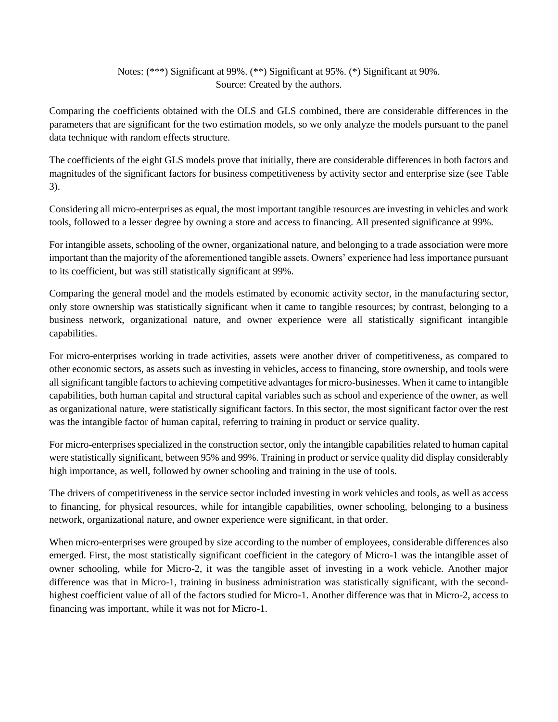### Notes: (\*\*\*) Significant at 99%. (\*\*) Significant at 95%. (\*) Significant at 90%. Source: Created by the authors.

Comparing the coefficients obtained with the OLS and GLS combined, there are considerable differences in the parameters that are significant for the two estimation models, so we only analyze the models pursuant to the panel data technique with random effects structure.

The coefficients of the eight GLS models prove that initially, there are considerable differences in both factors and magnitudes of the significant factors for business competitiveness by activity sector and enterprise size (see Table 3).

Considering all micro-enterprises as equal, the most important tangible resources are investing in vehicles and work tools, followed to a lesser degree by owning a store and access to financing. All presented significance at 99%.

For intangible assets, schooling of the owner, organizational nature, and belonging to a trade association were more important than the majority of the aforementioned tangible assets. Owners' experience had less importance pursuant to its coefficient, but was still statistically significant at 99%.

Comparing the general model and the models estimated by economic activity sector, in the manufacturing sector, only store ownership was statistically significant when it came to tangible resources; by contrast, belonging to a business network, organizational nature, and owner experience were all statistically significant intangible capabilities.

For micro-enterprises working in trade activities, assets were another driver of competitiveness, as compared to other economic sectors, as assets such as investing in vehicles, access to financing, store ownership, and tools were all significant tangible factors to achieving competitive advantages for micro-businesses. When it came to intangible capabilities, both human capital and structural capital variables such as school and experience of the owner, as well as organizational nature, were statistically significant factors. In this sector, the most significant factor over the rest was the intangible factor of human capital, referring to training in product or service quality.

For micro-enterprises specialized in the construction sector, only the intangible capabilities related to human capital were statistically significant, between 95% and 99%. Training in product or service quality did display considerably high importance, as well, followed by owner schooling and training in the use of tools.

The drivers of competitiveness in the service sector included investing in work vehicles and tools, as well as access to financing, for physical resources, while for intangible capabilities, owner schooling, belonging to a business network, organizational nature, and owner experience were significant, in that order.

When micro-enterprises were grouped by size according to the number of employees, considerable differences also emerged. First, the most statistically significant coefficient in the category of Micro-1 was the intangible asset of owner schooling, while for Micro-2, it was the tangible asset of investing in a work vehicle. Another major difference was that in Micro-1, training in business administration was statistically significant, with the secondhighest coefficient value of all of the factors studied for Micro-1. Another difference was that in Micro-2, access to financing was important, while it was not for Micro-1.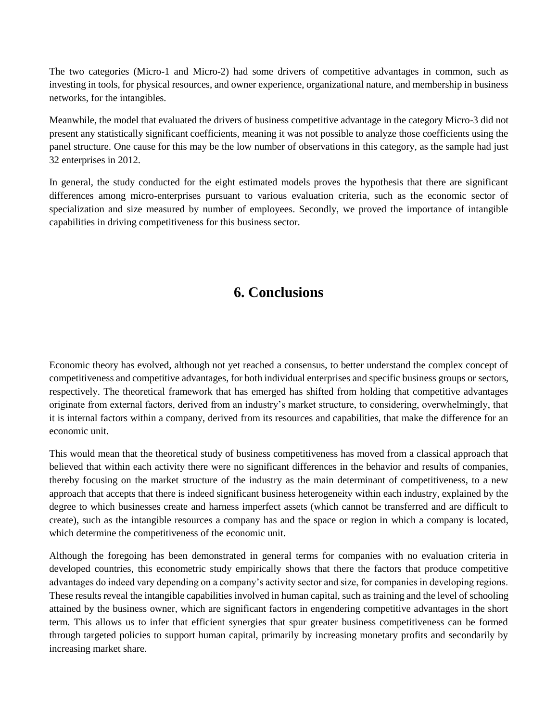The two categories (Micro-1 and Micro-2) had some drivers of competitive advantages in common, such as investing in tools, for physical resources, and owner experience, organizational nature, and membership in business networks, for the intangibles.

Meanwhile, the model that evaluated the drivers of business competitive advantage in the category Micro-3 did not present any statistically significant coefficients, meaning it was not possible to analyze those coefficients using the panel structure. One cause for this may be the low number of observations in this category, as the sample had just 32 enterprises in 2012.

In general, the study conducted for the eight estimated models proves the hypothesis that there are significant differences among micro-enterprises pursuant to various evaluation criteria, such as the economic sector of specialization and size measured by number of employees. Secondly, we proved the importance of intangible capabilities in driving competitiveness for this business sector.

## **6. Conclusions**

Economic theory has evolved, although not yet reached a consensus, to better understand the complex concept of competitiveness and competitive advantages, for both individual enterprises and specific business groups or sectors, respectively. The theoretical framework that has emerged has shifted from holding that competitive advantages originate from external factors, derived from an industry's market structure, to considering, overwhelmingly, that it is internal factors within a company, derived from its resources and capabilities, that make the difference for an economic unit.

This would mean that the theoretical study of business competitiveness has moved from a classical approach that believed that within each activity there were no significant differences in the behavior and results of companies, thereby focusing on the market structure of the industry as the main determinant of competitiveness, to a new approach that accepts that there is indeed significant business heterogeneity within each industry, explained by the degree to which businesses create and harness imperfect assets (which cannot be transferred and are difficult to create), such as the intangible resources a company has and the space or region in which a company is located, which determine the competitiveness of the economic unit.

Although the foregoing has been demonstrated in general terms for companies with no evaluation criteria in developed countries, this econometric study empirically shows that there the factors that produce competitive advantages do indeed vary depending on a company's activity sector and size, for companies in developing regions. These results reveal the intangible capabilities involved in human capital, such as training and the level of schooling attained by the business owner, which are significant factors in engendering competitive advantages in the short term. This allows us to infer that efficient synergies that spur greater business competitiveness can be formed through targeted policies to support human capital, primarily by increasing monetary profits and secondarily by increasing market share.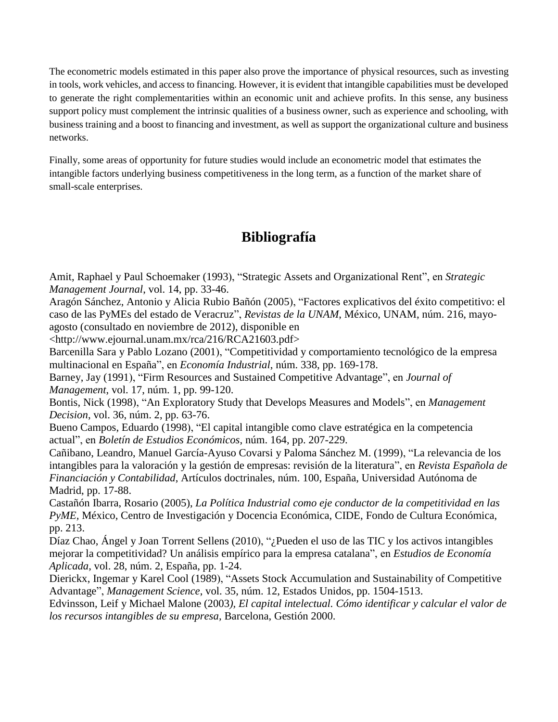The econometric models estimated in this paper also prove the importance of physical resources, such as investing in tools, work vehicles, and access to financing. However, it is evident that intangible capabilities must be developed to generate the right complementarities within an economic unit and achieve profits. In this sense, any business support policy must complement the intrinsic qualities of a business owner, such as experience and schooling, with business training and a boost to financing and investment, as well as support the organizational culture and business networks.

Finally, some areas of opportunity for future studies would include an econometric model that estimates the intangible factors underlying business competitiveness in the long term, as a function of the market share of small-scale enterprises.

## **Bibliografía**

Amit, Raphael y Paul Schoemaker (1993), "Strategic Assets and Organizational Rent", en *Strategic Management Journal*, vol. 14, pp. 33-46.

Aragón Sánchez, Antonio y Alicia Rubio Bañón (2005), "Factores explicativos del éxito competitivo: el caso de las PyMEs del estado de Veracruz", *Revistas de la UNAM*, México, UNAM, núm. 216, mayoagosto (consultado en noviembre de 2012), disponible en

<http://www.ejournal.unam.mx/rca/216/RCA21603.pdf>

Barcenilla Sara y Pablo Lozano (2001), "Competitividad y comportamiento tecnológico de la empresa multinacional en España", en *Economía Industrial*, núm. 338, pp. 169-178.

Barney, Jay (1991), "Firm Resources and Sustained Competitive Advantage", en *Journal of Management*, vol. 17, núm. 1, pp. 99-120.

Bontis, Nick (1998), "An Exploratory Study that Develops Measures and Models", en *Management Decision*, vol. 36, núm. 2, pp. 63-76.

Bueno Campos, Eduardo (1998), "El capital intangible como clave estratégica en la competencia actual", en *Boletín de Estudios Económicos*, núm. 164, pp. 207-229.

Cañibano, Leandro, Manuel García-Ayuso Covarsi y Paloma Sánchez M. (1999), "La relevancia de los intangibles para la valoración y la gestión de empresas: revisión de la literatura", en *Revista Española de Financiación y Contabilidad*, Artículos doctrinales, núm. 100, España, Universidad Autónoma de Madrid, pp. 17-88.

Castañón Ibarra, Rosario (2005), *La Política Industrial como eje conductor de la competitividad en las PyME,* México, Centro de Investigación y Docencia Económica, CIDE, Fondo de Cultura Económica, pp. 213.

Díaz Chao, Ángel y Joan Torrent Sellens (2010), "¿Pueden el uso de las TIC y los activos intangibles mejorar la competitividad? Un análisis empírico para la empresa catalana", en *Estudios de Economía Aplicada*, vol. 28, núm. 2, España, pp. 1-24.

Dierickx, Ingemar y Karel Cool (1989), "Assets Stock Accumulation and Sustainability of Competitive Advantage", *Management Science*, vol. 35, núm. 12, Estados Unidos, pp. 1504-1513.

Edvinsson, Leif y Michael Malone (2003*), El capital intelectual. Cómo identificar y calcular el valor de los recursos intangibles de su empresa,* Barcelona, Gestión 2000.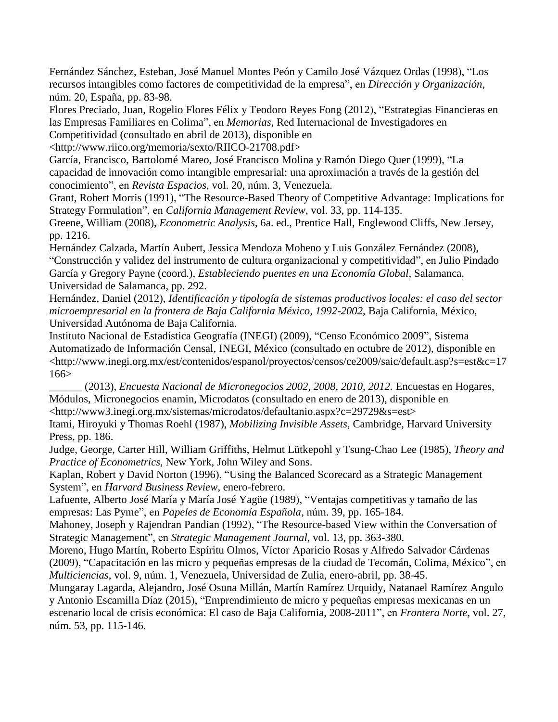Fernández Sánchez, Esteban, José Manuel Montes Peón y Camilo José Vázquez Ordas (1998), "Los recursos intangibles como factores de competitividad de la empresa", en *Dirección y Organización*, núm. 20, España, pp. 83-98.

Flores Preciado, Juan, Rogelio Flores Félix y Teodoro Reyes Fong (2012), "Estrategias Financieras en las Empresas Familiares en Colima", en *Memorias*, Red Internacional de Investigadores en Competitividad (consultado en abril de 2013), disponible en

<http://www.riico.org/memoria/sexto/RIICO-21708.pdf>

García, Francisco, Bartolomé Mareo, José Francisco Molina y Ramón Diego Quer (1999), "La capacidad de innovación como intangible empresarial: una aproximación a través de la gestión del conocimiento", en *Revista Espacios*, vol. 20, núm. 3, Venezuela.

Grant, Robert Morris (1991), "The Resource-Based Theory of Competitive Advantage: Implications for Strategy Formulation", en *California Management Review*, vol. 33, pp. 114-135.

Greene, William (2008), *Econometric Analysis*, 6a. ed., Prentice Hall, Englewood Cliffs, New Jersey, pp. 1216.

Hernández Calzada, Martín Aubert, Jessica Mendoza Moheno y Luis González Fernández (2008), "Construcción y validez del instrumento de cultura organizacional y competitividad", en Julio Pindado García y Gregory Payne (coord.), *Estableciendo puentes en una Economía Global*, Salamanca, Universidad de Salamanca, pp. 292.

Hernández, Daniel (2012), *Identificación y tipología de sistemas productivos locales: el caso del sector microempresarial en la frontera de Baja California México, 1992-2002,* Baja California, México, Universidad Autónoma de Baja California.

Instituto Nacional de Estadística Geografía (INEGI) (2009), "Censo Económico 2009", Sistema Automatizado de Información Censal, INEGI, México (consultado en octubre de 2012), disponible en <http://www.inegi.org.mx/est/contenidos/espanol/proyectos/censos/ce2009/saic/default.asp?s=est&c=17 166>

\_\_\_\_\_\_ (2013), *Encuesta Nacional de Micronegocios 2002, 2008, 2010, 2012.* Encuestas en Hogares, Módulos, Micronegocios enamin, Microdatos (consultado en enero de 2013), disponible en <http://www3.inegi.org.mx/sistemas/microdatos/defaultanio.aspx?c=29729&s=est>

Itami, Hiroyuki y Thomas Roehl (1987), *Mobilizing Invisible Assets,* Cambridge, Harvard University Press, pp. 186.

Judge, George, Carter Hill, William Griffiths, Helmut Lütkepohl y Tsung-Chao Lee (1985), *Theory and Practice of Econometrics*, New York, John Wiley and Sons.

Kaplan, Robert y David Norton (1996), "Using the Balanced Scorecard as a Strategic Management System", en *Harvard Business Review,* enero-febrero.

Lafuente, Alberto José María y María José Yagüe (1989), "Ventajas competitivas y tamaño de las empresas: Las Pyme", en *Papeles de Economía Española*, núm. 39, pp. 165-184.

Mahoney, Joseph y Rajendran Pandian (1992), "The Resource-based View within the Conversation of Strategic Management", en *Strategic Management Journal*, vol. 13, pp. 363-380.

Moreno, Hugo Martín, Roberto Espíritu Olmos, Víctor Aparicio Rosas y Alfredo Salvador Cárdenas (2009), "Capacitación en las micro y pequeñas empresas de la ciudad de Tecomán, Colima, México", en *Multiciencias*, vol. 9, núm. 1, Venezuela, Universidad de Zulia, enero-abril, pp. 38-45.

Mungaray Lagarda, Alejandro, José Osuna Millán, Martín Ramírez Urquidy, Natanael Ramírez Angulo y Antonio Escamilla Díaz (2015), "Emprendimiento de micro y pequeñas empresas mexicanas en un escenario local de crisis económica: El caso de Baja California, 2008-2011", en *Frontera Norte*, vol. 27, núm. 53, pp. 115-146.